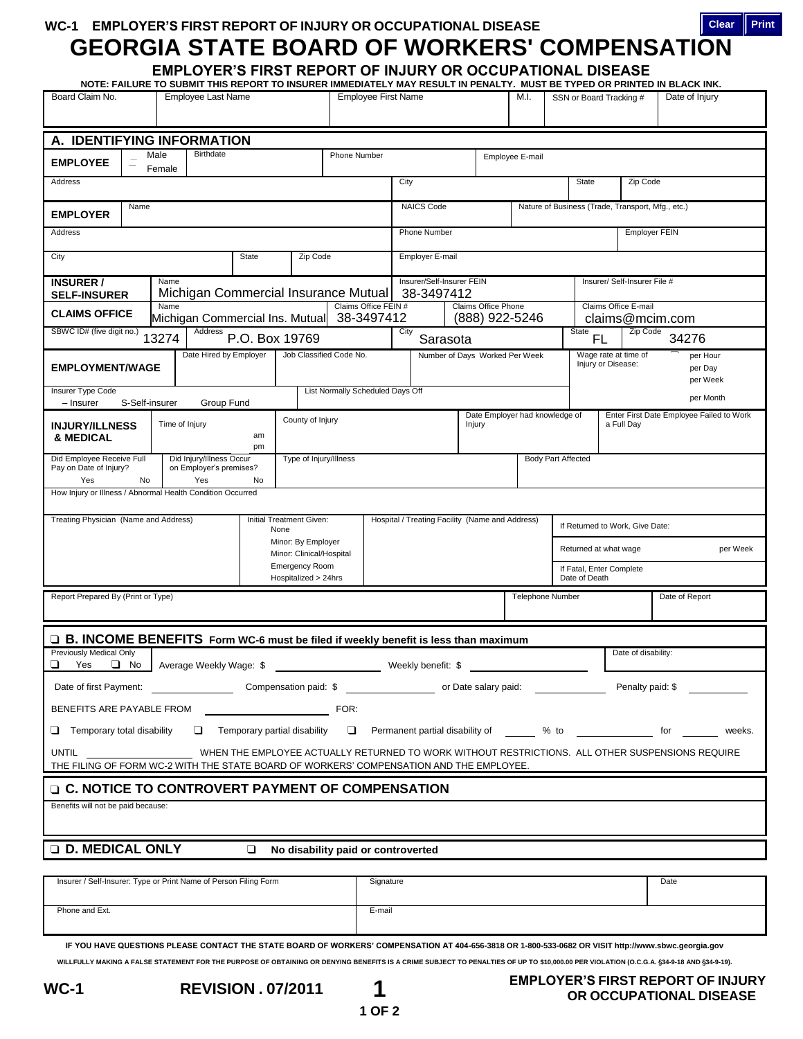**WC-1 EMPLOYER'S FIRST REPORT OF INJURY OR OCCUPATIONAL DISEASE**

## **GEORGIA STATE BOARD OF WORKERS' COMPENSATION Clear Print**

**EMPLOYER'S FIRST REPORT OF INJURY OR OCCUPATIONAL DISEASE**

| Board Claim No.                                                                                                                                                                                     |    |                                                     | Employee Last Name         |                                      |                                                | NOTE: FAILURE TO SUBMIT THIS REPORT TO INSURER IMMEDIATELY MAY RESULT IN PENALTY. MUST BE TYPED OR PRINTED IN BLACK INK.<br><b>Employee First Name</b> |                                    |                                                 |                  |  | M.I.                                  |                                           |                                                   | SSN or Board Tracking #                 | Date of Injury |                                                                          |  |
|-----------------------------------------------------------------------------------------------------------------------------------------------------------------------------------------------------|----|-----------------------------------------------------|----------------------------|--------------------------------------|------------------------------------------------|--------------------------------------------------------------------------------------------------------------------------------------------------------|------------------------------------|-------------------------------------------------|------------------|--|---------------------------------------|-------------------------------------------|---------------------------------------------------|-----------------------------------------|----------------|--------------------------------------------------------------------------|--|
| A. IDENTIFYING INFORMATION                                                                                                                                                                          |    |                                                     |                            |                                      |                                                |                                                                                                                                                        |                                    |                                                 |                  |  |                                       |                                           |                                                   |                                         |                |                                                                          |  |
|                                                                                                                                                                                                     |    | Male                                                | Birthdate                  |                                      |                                                | Phone Number                                                                                                                                           |                                    |                                                 |                  |  | Employee E-mail                       |                                           |                                                   |                                         |                |                                                                          |  |
| <b>EMPLOYEE</b><br>Female                                                                                                                                                                           |    |                                                     |                            |                                      |                                                |                                                                                                                                                        |                                    |                                                 |                  |  |                                       |                                           |                                                   |                                         |                |                                                                          |  |
| Address                                                                                                                                                                                             |    |                                                     |                            |                                      |                                                | City                                                                                                                                                   |                                    |                                                 |                  |  | State<br>Zip Code                     |                                           |                                                   |                                         |                |                                                                          |  |
| Name<br><b>EMPLOYER</b>                                                                                                                                                                             |    |                                                     |                            |                                      |                                                |                                                                                                                                                        | <b>NAICS Code</b>                  |                                                 |                  |  |                                       |                                           | Nature of Business (Trade, Transport, Mfg., etc.) |                                         |                |                                                                          |  |
| Address                                                                                                                                                                                             |    |                                                     |                            |                                      |                                                |                                                                                                                                                        |                                    | <b>Phone Number</b>                             |                  |  |                                       |                                           |                                                   | <b>Employer FEIN</b>                    |                |                                                                          |  |
| City                                                                                                                                                                                                |    |                                                     |                            | Employer E-mail                      |                                                |                                                                                                                                                        |                                    |                                                 |                  |  |                                       |                                           |                                                   |                                         |                |                                                                          |  |
| Name<br><b>INSURER /</b><br><b>SELF-INSURER</b>                                                                                                                                                     |    |                                                     |                            | Michigan Commercial Insurance Mutual |                                                |                                                                                                                                                        |                                    | Insurer/Self-Insurer FEIN<br>38-3497412         |                  |  |                                       |                                           | Insurer/ Self-Insurer File #                      |                                         |                |                                                                          |  |
| Name<br><b>CLAIMS OFFICE</b>                                                                                                                                                                        |    |                                                     |                            | Michigan Commercial Ins. Mutual      |                                                |                                                                                                                                                        | Claims Office FEIN #<br>38-3497412 |                                                 |                  |  | Claims Office Phone<br>(888) 922-5246 |                                           |                                                   | Claims Office E-mail<br>claims@mcim.com |                |                                                                          |  |
| SBWC ID# (five digit no.)<br>Address<br>13274                                                                                                                                                       |    |                                                     | P.O. Box 19769             |                                      |                                                | City<br>Sarasota                                                                                                                                       |                                    |                                                 |                  |  | State<br>FL                           |                                           | Zip Code<br>34276                                 |                                         |                |                                                                          |  |
| Date Hired by Employer                                                                                                                                                                              |    |                                                     | Job Classified Code No.    |                                      |                                                |                                                                                                                                                        | Number of Days Worked Per Week     |                                                 |                  |  |                                       | Wage rate at time of<br>per Hour          |                                                   |                                         |                |                                                                          |  |
| <b>EMPLOYMENT/WAGE</b>                                                                                                                                                                              |    |                                                     |                            |                                      |                                                |                                                                                                                                                        |                                    |                                                 |                  |  |                                       | Injury or Disease:<br>per Day<br>per Week |                                                   |                                         |                |                                                                          |  |
| Insurer Type Code<br>S-Self-insurer                                                                                                                                                                 |    |                                                     |                            |                                      | List Normally Scheduled Days Off               |                                                                                                                                                        |                                    |                                                 |                  |  |                                       |                                           |                                                   |                                         | per Month      |                                                                          |  |
| - Insurer                                                                                                                                                                                           |    |                                                     | Group Fund                 |                                      | County of Injury                               |                                                                                                                                                        |                                    |                                                 |                  |  | Date Employer had knowledge of        |                                           |                                                   |                                         |                | Enter First Date Employee Failed to Work                                 |  |
| <b>INJURY/ILLNESS</b><br>& MEDICAL                                                                                                                                                                  |    |                                                     | Time of Injury<br>am<br>pm |                                      |                                                |                                                                                                                                                        |                                    |                                                 | Injury           |  |                                       |                                           |                                                   | a Full Day                              |                |                                                                          |  |
| Did Employee Receive Full<br>Pay on Date of Injury?                                                                                                                                                 |    | Did Injury/Illness Occur<br>on Employer's premises? | Type of Injury/Illness     |                                      |                                                |                                                                                                                                                        | <b>Body Part Affected</b>          |                                                 |                  |  |                                       |                                           |                                                   |                                         |                |                                                                          |  |
| Yes<br>How Injury or Illness / Abnormal Health Condition Occurred                                                                                                                                   | No |                                                     | Yes                        | No                                   |                                                |                                                                                                                                                        |                                    |                                                 |                  |  |                                       |                                           |                                                   |                                         |                |                                                                          |  |
|                                                                                                                                                                                                     |    |                                                     |                            |                                      |                                                |                                                                                                                                                        |                                    |                                                 |                  |  |                                       |                                           |                                                   |                                         |                |                                                                          |  |
| Treating Physician (Name and Address)                                                                                                                                                               |    |                                                     |                            |                                      | Initial Treatment Given:<br>None               |                                                                                                                                                        |                                    | Hospital / Treating Facility (Name and Address) |                  |  |                                       |                                           | If Returned to Work, Give Date:                   |                                         |                |                                                                          |  |
|                                                                                                                                                                                                     |    |                                                     |                            |                                      | Minor: By Employer<br>Minor: Clinical/Hospital |                                                                                                                                                        |                                    |                                                 |                  |  |                                       |                                           | Returned at what wage<br>per Week                 |                                         |                |                                                                          |  |
|                                                                                                                                                                                                     |    |                                                     |                            |                                      | <b>Emergency Room</b><br>Hospitalized > 24hrs  |                                                                                                                                                        |                                    |                                                 |                  |  |                                       | If Fatal, Enter Complete<br>Date of Death |                                                   |                                         |                |                                                                          |  |
| Report Prepared By (Print or Type)                                                                                                                                                                  |    |                                                     |                            |                                      |                                                |                                                                                                                                                        |                                    |                                                 | Telephone Number |  |                                       |                                           |                                                   |                                         | Date of Report |                                                                          |  |
|                                                                                                                                                                                                     |    |                                                     |                            |                                      |                                                |                                                                                                                                                        |                                    |                                                 |                  |  |                                       |                                           |                                                   |                                         |                |                                                                          |  |
| □ B. INCOME BENEFITS Form WC-6 must be filed if weekly benefit is less than maximum<br>Previously Medical Only                                                                                      |    |                                                     |                            |                                      |                                                |                                                                                                                                                        |                                    |                                                 |                  |  |                                       |                                           |                                                   | Date of disability:                     |                |                                                                          |  |
| $\Box$ No<br>⊔<br>Yes<br>Average Weekly Wage: \$                                                                                                                                                    |    |                                                     |                            |                                      |                                                |                                                                                                                                                        | Weekly benefit: \$                 |                                                 |                  |  |                                       |                                           |                                                   |                                         |                |                                                                          |  |
| Penalty paid: \$                                                                                                                                                                                    |    |                                                     |                            |                                      |                                                |                                                                                                                                                        |                                    |                                                 |                  |  |                                       |                                           |                                                   |                                         |                |                                                                          |  |
| BENEFITS ARE PAYABLE FROM<br>FOR:                                                                                                                                                                   |    |                                                     |                            |                                      |                                                |                                                                                                                                                        |                                    |                                                 |                  |  |                                       |                                           |                                                   |                                         |                |                                                                          |  |
| $\Box$ Temporary total disability                                                                                                                                                                   |    |                                                     |                            |                                      |                                                |                                                                                                                                                        |                                    |                                                 |                  |  |                                       |                                           |                                                   |                                         |                | Temporary partial disability Thermanent partial disability of the weeks. |  |
| WHEN THE EMPLOYEE ACTUALLY RETURNED TO WORK WITHOUT RESTRICTIONS. ALL OTHER SUSPENSIONS REQUIRE<br>UNTIL<br>THE FILING OF FORM WC-2 WITH THE STATE BOARD OF WORKERS' COMPENSATION AND THE EMPLOYEE. |    |                                                     |                            |                                      |                                                |                                                                                                                                                        |                                    |                                                 |                  |  |                                       |                                           |                                                   |                                         |                |                                                                          |  |
| □ C. NOTICE TO CONTROVERT PAYMENT OF COMPENSATION                                                                                                                                                   |    |                                                     |                            |                                      |                                                |                                                                                                                                                        |                                    |                                                 |                  |  |                                       |                                           |                                                   |                                         |                |                                                                          |  |
| Benefits will not be paid because:                                                                                                                                                                  |    |                                                     |                            |                                      |                                                |                                                                                                                                                        |                                    |                                                 |                  |  |                                       |                                           |                                                   |                                         |                |                                                                          |  |
|                                                                                                                                                                                                     |    |                                                     |                            |                                      |                                                |                                                                                                                                                        |                                    |                                                 |                  |  |                                       |                                           |                                                   |                                         |                |                                                                          |  |
| <b>D. MEDICAL ONLY</b><br>$\Box$<br>No disability paid or controverted                                                                                                                              |    |                                                     |                            |                                      |                                                |                                                                                                                                                        |                                    |                                                 |                  |  |                                       |                                           |                                                   |                                         |                |                                                                          |  |
|                                                                                                                                                                                                     |    |                                                     |                            |                                      |                                                |                                                                                                                                                        |                                    |                                                 |                  |  |                                       |                                           |                                                   |                                         |                |                                                                          |  |
| Insurer / Self-Insurer: Type or Print Name of Person Filing Form                                                                                                                                    |    |                                                     |                            |                                      |                                                |                                                                                                                                                        | Signature                          |                                                 |                  |  |                                       |                                           |                                                   |                                         | Date           |                                                                          |  |
| Phone and Ext.                                                                                                                                                                                      |    |                                                     |                            |                                      |                                                |                                                                                                                                                        | E-mail                             |                                                 |                  |  |                                       |                                           |                                                   |                                         |                |                                                                          |  |
|                                                                                                                                                                                                     |    |                                                     |                            |                                      |                                                |                                                                                                                                                        |                                    |                                                 |                  |  |                                       |                                           |                                                   |                                         |                |                                                                          |  |

**IF YOU HAVE QUESTIONS PLEASE CONTACT THE STATE BOARD OF WORKERS' COMPENSATION AT 404-656-3818 OR 1-800-533-0682 OR VISIT http://www.sbwc.georgia.gov WILLFULLY MAKING A FALSE STATEMENT FOR THE PURPOSE OF OBTAINING OR DENYING BENEFITS IS A CRIME SUBJECT TO PENALTIES OF UP TO \$10,000.00 PER VIOLATION (O.C.G.A. 34-9-18 AND 34-9-19).**

**1 OF 2**